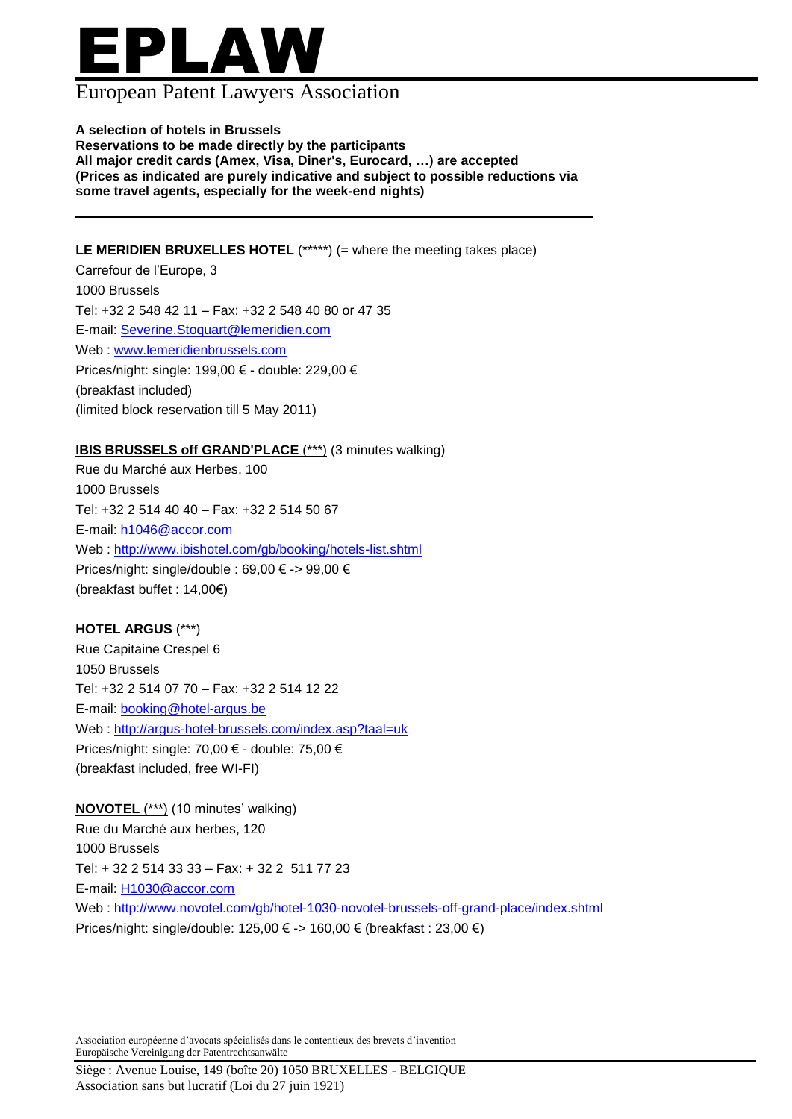# EPLAW

### European Patent Lawyers Association

#### **A selection of hotels in Brussels**

**Reservations to be made directly by the participants All major credit cards (Amex, Visa, Diner's, Eurocard, …) are accepted (Prices as indicated are purely indicative and subject to possible reductions via some travel agents, especially for the week-end nights)**

#### **LE MERIDIEN BRUXELLES HOTEL** (\*\*\*\*\*) (= where the meeting takes place)

Carrefour de l'Europe, 3 1000 Brussels Tel: +32 2 548 42 11 – Fax: +32 2 548 40 80 or 47 35 E-mail: [Severine.Stoquart@lemeridien.com](mailto:Severine.Stoquart@lemeridien.com) Web : [www.lemeridienbrussels.com](http://www.lemeridienbrussels.com/) Prices/night: single: 199,00 € - double: 229,00 € (breakfast included) (limited block reservation till 5 May 2011)

#### **IBIS BRUSSELS off GRAND'PLACE** (\*\*\*) (3 minutes walking)

Rue du Marché aux Herbes, 100 1000 Brussels Tel: +32 2 514 40 40 – Fax: +32 2 514 50 67 E-mail: [h1046@accor.com](mailto:h1046@accor.com)  Web :<http://www.ibishotel.com/gb/booking/hotels-list.shtml> Prices/night: single/double : 69,00 € -> 99,00 € (breakfast buffet : 14,00€)

#### **HOTEL ARGUS** (\*\*\*)

Rue Capitaine Crespel 6 1050 Brussels Tel: +32 2 514 07 70 – Fax: +32 2 514 12 22 E-mail: [booking@hotel-argus.be](mailto:booking@hotel-argus.be)  Web :<http://argus-hotel-brussels.com/index.asp?taal=uk> Prices/night: single: 70,00 € - double: 75,00 € (breakfast included, free WI-FI)

**NOVOTEL** (\*\*\*) (10 minutes' walking) Rue du Marché aux herbes, 120 1000 Brussels Tel: + 32 2 514 33 33 – Fax: + 32 2 511 77 23 E-mail: [H1030@accor.com](mailto:H1030@accor.com)  Web :<http://www.novotel.com/gb/hotel-1030-novotel-brussels-off-grand-place/index.shtml> Prices/night: single/double: 125,00 € -> 160,00 € (breakfast : 23,00 €)

Association européenne d'avocats spécialisés dans le contentieux des brevets d'invention Europäische Vereinigung der Patentrechtsanwälte